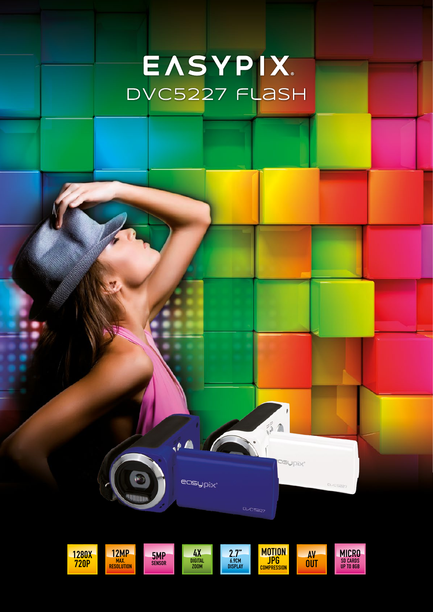# EASYPIX. DVC5227 flash



 $\theta$ 

easypix'

W.

**William** 

 $\frac{3}{2}$ 

ngypix'